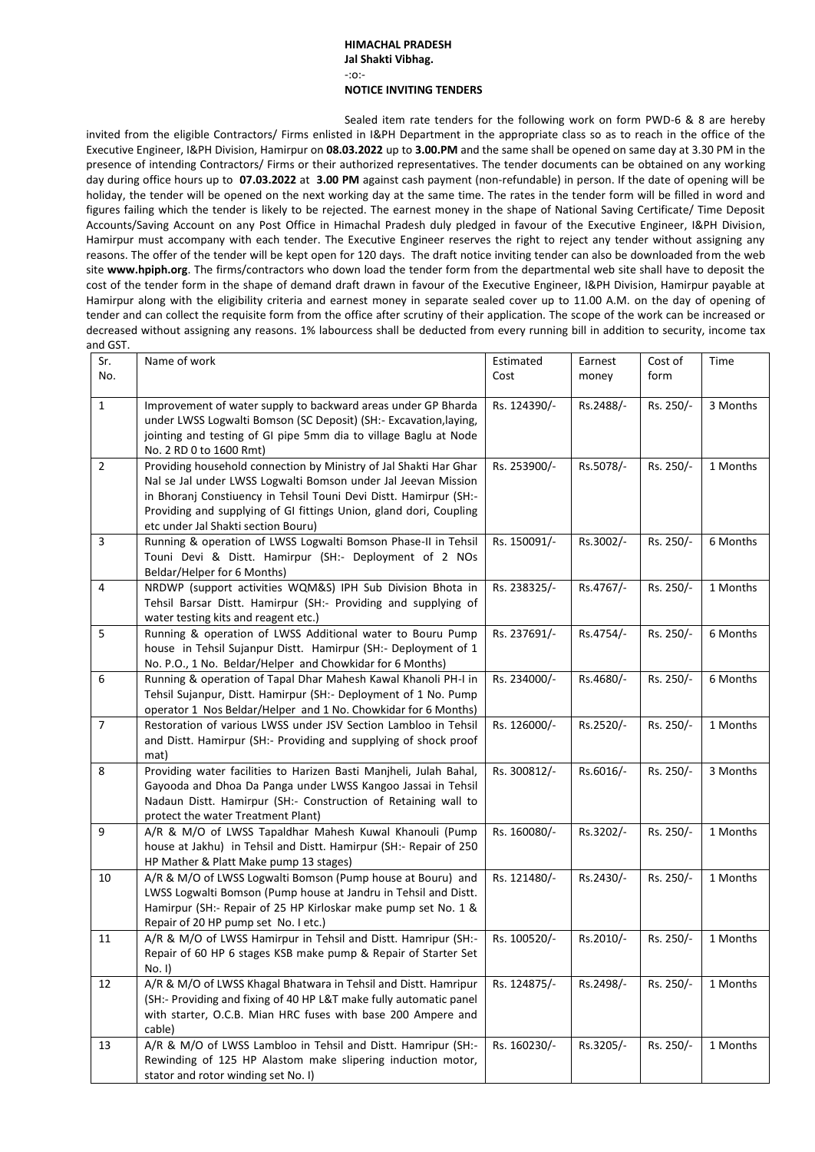## **HIMACHAL PRADESH Jal Shakti Vibhag.** -:o:- **NOTICE INVITING TENDERS**

Sealed item rate tenders for the following work on form PWD-6 & 8 are hereby invited from the eligible Contractors/ Firms enlisted in I&PH Department in the appropriate class so as to reach in the office of the Executive Engineer, I&PH Division, Hamirpur on **08.03.2022** up to **3.00.PM** and the same shall be opened on same day at 3.30 PM in the presence of intending Contractors/ Firms or their authorized representatives. The tender documents can be obtained on any working day during office hours up to **07.03.2022** at **3.00 PM** against cash payment (non-refundable) in person. If the date of opening will be holiday, the tender will be opened on the next working day at the same time. The rates in the tender form will be filled in word and figures failing which the tender is likely to be rejected. The earnest money in the shape of National Saving Certificate/ Time Deposit Accounts/Saving Account on any Post Office in Himachal Pradesh duly pledged in favour of the Executive Engineer, I&PH Division, Hamirpur must accompany with each tender. The Executive Engineer reserves the right to reject any tender without assigning any reasons. The offer of the tender will be kept open for 120 days. The draft notice inviting tender can also be downloaded from the web site **[www.hpiph.org](http://www.hpiph.org/)**. The firms/contractors who down load the tender form from the departmental web site shall have to deposit the cost of the tender form in the shape of demand draft drawn in favour of the Executive Engineer, I&PH Division, Hamirpur payable at Hamirpur along with the eligibility criteria and earnest money in separate sealed cover up to 11.00 A.M. on the day of opening of tender and can collect the requisite form from the office after scrutiny of their application. The scope of the work can be increased or decreased without assigning any reasons. 1% labourcess shall be deducted from every running bill in addition to security, income tax and GST.

| Sr.            | Name of work                                                                                                                                                        | Estimated    | Earnest   | Cost of   | Time     |
|----------------|---------------------------------------------------------------------------------------------------------------------------------------------------------------------|--------------|-----------|-----------|----------|
| No.            |                                                                                                                                                                     | Cost         | money     | form      |          |
|                |                                                                                                                                                                     |              |           |           |          |
| $\mathbf{1}$   | Improvement of water supply to backward areas under GP Bharda                                                                                                       | Rs. 124390/- | Rs.2488/- | Rs. 250/- | 3 Months |
|                | under LWSS Logwalti Bomson (SC Deposit) (SH:- Excavation, laying,                                                                                                   |              |           |           |          |
|                | jointing and testing of GI pipe 5mm dia to village Baglu at Node                                                                                                    |              |           |           |          |
|                | No. 2 RD 0 to 1600 Rmt)                                                                                                                                             |              |           |           |          |
| $\overline{2}$ | Providing household connection by Ministry of Jal Shakti Har Ghar                                                                                                   | Rs. 253900/- | Rs.5078/- | Rs. 250/- | 1 Months |
|                | Nal se Jal under LWSS Logwalti Bomson under Jal Jeevan Mission                                                                                                      |              |           |           |          |
|                | in Bhoranj Constiuency in Tehsil Touni Devi Distt. Hamirpur (SH:-                                                                                                   |              |           |           |          |
|                | Providing and supplying of GI fittings Union, gland dori, Coupling                                                                                                  |              |           |           |          |
|                | etc under Jal Shakti section Bouru)                                                                                                                                 |              |           |           |          |
| $\mathsf 3$    | Running & operation of LWSS Logwalti Bomson Phase-II in Tehsil                                                                                                      | Rs. 150091/- | Rs.3002/- | Rs. 250/- | 6 Months |
|                | Touni Devi & Distt. Hamirpur (SH:- Deployment of 2 NOs                                                                                                              |              |           |           |          |
|                | Beldar/Helper for 6 Months)                                                                                                                                         |              |           |           |          |
| $\overline{4}$ | NRDWP (support activities WQM&S) IPH Sub Division Bhota in                                                                                                          | Rs. 238325/- | Rs.4767/- | Rs. 250/- | 1 Months |
|                | Tehsil Barsar Distt. Hamirpur (SH:- Providing and supplying of                                                                                                      |              |           |           |          |
|                | water testing kits and reagent etc.)                                                                                                                                |              |           |           |          |
| 5              | Running & operation of LWSS Additional water to Bouru Pump                                                                                                          | Rs. 237691/- | Rs.4754/- | Rs. 250/- | 6 Months |
|                | house in Tehsil Sujanpur Distt. Hamirpur (SH:- Deployment of 1                                                                                                      |              |           |           |          |
|                | No. P.O., 1 No. Beldar/Helper and Chowkidar for 6 Months)                                                                                                           |              |           |           |          |
| 6              | Running & operation of Tapal Dhar Mahesh Kawal Khanoli PH-I in                                                                                                      | Rs. 234000/- | Rs.4680/- | Rs. 250/- | 6 Months |
|                | Tehsil Sujanpur, Distt. Hamirpur (SH:- Deployment of 1 No. Pump                                                                                                     |              |           |           |          |
|                | operator 1 Nos Beldar/Helper and 1 No. Chowkidar for 6 Months)                                                                                                      |              |           |           |          |
| $\overline{7}$ | Restoration of various LWSS under JSV Section Lambloo in Tehsil                                                                                                     | Rs. 126000/- | Rs.2520/- | Rs. 250/- | 1 Months |
|                | and Distt. Hamirpur (SH:- Providing and supplying of shock proof                                                                                                    |              |           |           |          |
|                | mat)                                                                                                                                                                |              |           |           |          |
| 8              | Providing water facilities to Harizen Basti Manjheli, Julah Bahal,                                                                                                  | Rs. 300812/- | Rs.6016/- | Rs. 250/- | 3 Months |
|                | Gayooda and Dhoa Da Panga under LWSS Kangoo Jassai in Tehsil                                                                                                        |              |           |           |          |
|                | Nadaun Distt. Hamirpur (SH:- Construction of Retaining wall to                                                                                                      |              |           |           |          |
|                | protect the water Treatment Plant)                                                                                                                                  |              |           |           |          |
| 9              | A/R & M/O of LWSS Tapaldhar Mahesh Kuwal Khanouli (Pump                                                                                                             | Rs. 160080/- | Rs.3202/- | Rs. 250/- | 1 Months |
|                | house at Jakhu) in Tehsil and Distt. Hamirpur (SH:- Repair of 250                                                                                                   |              |           |           |          |
|                | HP Mather & Platt Make pump 13 stages)                                                                                                                              |              |           |           |          |
| 10             | A/R & M/O of LWSS Logwalti Bomson (Pump house at Bouru) and                                                                                                         | Rs. 121480/- | Rs.2430/- | Rs. 250/- | 1 Months |
|                | LWSS Logwalti Bomson (Pump house at Jandru in Tehsil and Distt.                                                                                                     |              |           |           |          |
|                | Hamirpur (SH:- Repair of 25 HP Kirloskar make pump set No. 1 &                                                                                                      |              |           |           |          |
|                | Repair of 20 HP pump set No. I etc.)                                                                                                                                |              |           |           |          |
| 11             | A/R & M/O of LWSS Hamirpur in Tehsil and Distt. Hamripur (SH:-                                                                                                      | Rs. 100520/- | Rs.2010/- | Rs. 250/- | 1 Months |
|                | Repair of 60 HP 6 stages KSB make pump & Repair of Starter Set<br>No. I)                                                                                            |              |           |           |          |
| 12             | A/R & M/O of LWSS Khagal Bhatwara in Tehsil and Distt. Hamripur                                                                                                     | Rs. 124875/- | Rs.2498/- | Rs. 250/- | 1 Months |
|                | (SH:- Providing and fixing of 40 HP L&T make fully automatic panel                                                                                                  |              |           |           |          |
|                | with starter, O.C.B. Mian HRC fuses with base 200 Ampere and                                                                                                        |              |           |           |          |
|                | cable)                                                                                                                                                              |              |           |           |          |
|                |                                                                                                                                                                     |              |           |           |          |
|                |                                                                                                                                                                     |              |           |           |          |
|                |                                                                                                                                                                     |              |           |           |          |
| 13             | A/R & M/O of LWSS Lambloo in Tehsil and Distt. Hamripur (SH:-<br>Rewinding of 125 HP Alastom make slipering induction motor,<br>stator and rotor winding set No. I) | Rs. 160230/- | Rs.3205/- | Rs. 250/- | 1 Months |